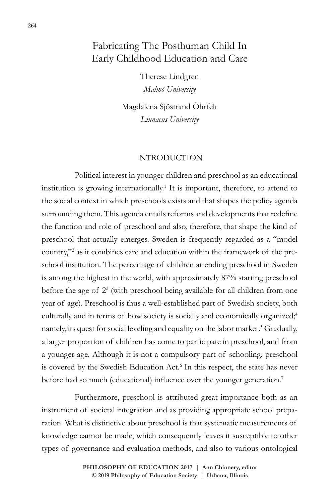# Fabricating The Posthuman Child In Early Childhood Education and Care

Therese Lindgren *Malmö University*

Magdalena Sjöstrand Öhrfelt *Linnaeus University*

#### INTRODUCTION

Political interest in younger children and preschool as an educational institution is growing internationally.<sup>1</sup> It is important, therefore, to attend to the social context in which preschools exists and that shapes the policy agenda surrounding them. This agenda entails reforms and developments that redefine the function and role of preschool and also, therefore, that shape the kind of preschool that actually emerges. Sweden is frequently regarded as a "model country,"2 as it combines care and education within the framework of the preschool institution. The percentage of children attending preschool in Sweden is among the highest in the world, with approximately 87% starting preschool before the age of 23 (with preschool being available for all children from one year of age). Preschool is thus a well-established part of Swedish society, both culturally and in terms of how society is socially and economically organized;<sup>4</sup> namely, its quest for social leveling and equality on the labor market.<sup>5</sup> Gradually, a larger proportion of children has come to participate in preschool, and from a younger age. Although it is not a compulsory part of schooling, preschool is covered by the Swedish Education Act.<sup>6</sup> In this respect, the state has never before had so much (educational) influence over the younger generation.<sup>7</sup>

Furthermore, preschool is attributed great importance both as an instrument of societal integration and as providing appropriate school preparation. What is distinctive about preschool is that systematic measurements of knowledge cannot be made, which consequently leaves it susceptible to other types of governance and evaluation methods, and also to various ontological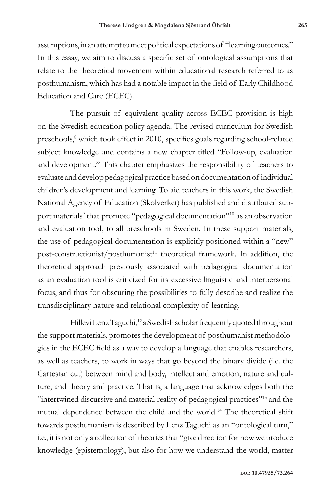assumptions, in an attempt to meet political expectations of "learning outcomes." In this essay, we aim to discuss a specific set of ontological assumptions that relate to the theoretical movement within educational research referred to as posthumanism, which has had a notable impact in the field of Early Childhood Education and Care (ECEC).

The pursuit of equivalent quality across ECEC provision is high on the Swedish education policy agenda. The revised curriculum for Swedish preschools,<sup>8</sup> which took effect in 2010, specifies goals regarding school-related subject knowledge and contains a new chapter titled "Follow-up, evaluation and development." This chapter emphasizes the responsibility of teachers to evaluate and develop pedagogical practice based on documentation of individual children's development and learning. To aid teachers in this work, the Swedish National Agency of Education (Skolverket) has published and distributed support materials<sup>9</sup> that promote "pedagogical documentation"<sup>10</sup> as an observation and evaluation tool, to all preschools in Sweden. In these support materials, the use of pedagogical documentation is explicitly positioned within a "new" post-constructionist/posthumanist<sup>11</sup> theoretical framework. In addition, the theoretical approach previously associated with pedagogical documentation as an evaluation tool is criticized for its excessive linguistic and interpersonal focus, and thus for obscuring the possibilities to fully describe and realize the transdisciplinary nature and relational complexity of learning.

Hillevi Lenz Taguchi,<sup>12</sup> a Swedish scholar frequently quoted throughout the support materials, promotes the development of posthumanist methodologies in the ECEC field as a way to develop a language that enables researchers, as well as teachers, to work in ways that go beyond the binary divide (i.e. the Cartesian cut) between mind and body, intellect and emotion, nature and culture, and theory and practice. That is, a language that acknowledges both the "intertwined discursive and material reality of pedagogical practices"13 and the mutual dependence between the child and the world.14 The theoretical shift towards posthumanism is described by Lenz Taguchi as an "ontological turn," i.e., it is not only a collection of theories that "give direction for how we produce knowledge (epistemology), but also for how we understand the world, matter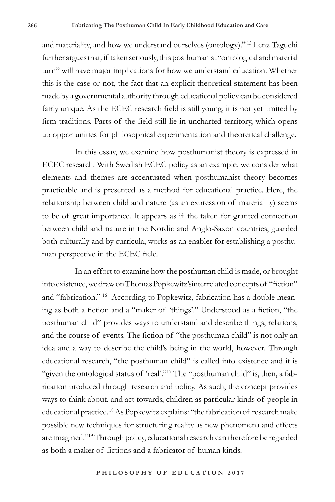and materiality, and how we understand ourselves (ontology)." 15 Lenz Taguchi further argues that, if taken seriously, this posthumanist "ontological and material turn" will have major implications for how we understand education. Whether this is the case or not, the fact that an explicit theoretical statement has been made by a governmental authority through educational policy can be considered fairly unique. As the ECEC research field is still young, it is not yet limited by firm traditions. Parts of the field still lie in uncharted territory, which opens up opportunities for philosophical experimentation and theoretical challenge.

In this essay, we examine how posthumanist theory is expressed in ECEC research. With Swedish ECEC policy as an example, we consider what elements and themes are accentuated when posthumanist theory becomes practicable and is presented as a method for educational practice. Here, the relationship between child and nature (as an expression of materiality) seems to be of great importance. It appears as if the taken for granted connection between child and nature in the Nordic and Anglo-Saxon countries, guarded both culturally and by curricula, works as an enabler for establishing a posthuman perspective in the ECEC field.

In an effort to examine how the posthuman child is made, or brought into existence, we draw on Thomas Popkewitz'sinterrelated concepts of "fiction" and "fabrication." 16 According to Popkewitz, fabrication has a double meaning as both a fiction and a "maker of 'things'." Understood as a fiction, "the posthuman child" provides ways to understand and describe things, relations, and the course of events. The fiction of "the posthuman child" is not only an idea and a way to describe the child's being in the world, however. Through educational research, "the posthuman child" is called into existence and it is "given the ontological status of 'real'."<sup>17</sup> The "posthuman child" is, then, a fabrication produced through research and policy. As such, the concept provides ways to think about, and act towards, children as particular kinds of people in educational practice. 18 As Popkewitz explains: "the fabrication of research make possible new techniques for structuring reality as new phenomena and effects are imagined."19 Through policy, educational research can therefore be regarded as both a maker of fictions and a fabricator of human kinds.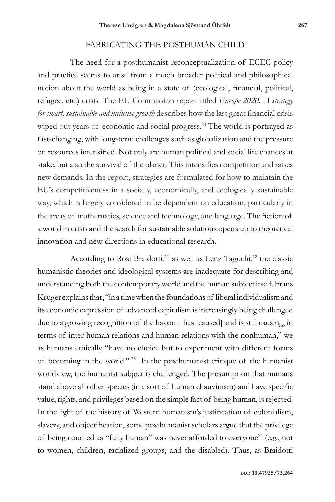### FABRICATING THE POSTHUMAN CHILD

The need for a posthumanist reconceptualization of ECEC policy and practice seems to arise from a much broader political and philosophical notion about the world as being in a state of (ecological, financial, political, refugee, etc.) crisis. The EU Commission report titled *Europe 2020. A strategy for smart, sustainable and inclusive growth* describes how the last great financial crisis wiped out years of economic and social progress.<sup>20</sup> The world is portrayed as fast-changing, with long-term challenges such as globalization and the pressure on resources intensified. Not only are human political and social life chances at stake, but also the survival of the planet. This intensifies competition and raises new demands. In the report, strategies are formulated for how to maintain the EU's competitiveness in a socially, economically, and ecologically sustainable way, which is largely considered to be dependent on education, particularly in the areas of mathematics, science and technology, and language. The fiction of a world in crisis and the search for sustainable solutions opens up to theoretical innovation and new directions in educational research.

According to Rosi Braidotti, $21$  as well as Lenz Taguchi, $22$  the classic humanistic theories and ideological systems are inadequate for describing and understanding both the contemporary world and the human subject itself. Frans Kruger explains that, "in a time when the foundations of liberal individualism and its economic expression of advanced capitalism is increasingly being challenged due to a growing recognition of the havoc it has [caused] and is still causing, in terms of inter-human relations and human relations with the nonhuman," we as humans ethically "have no choice but to experiment with different forms of becoming in the world." 23 In the posthumanist critique of the humanist worldview, the humanist subject is challenged. The presumption that humans stand above all other species (in a sort of human chauvinism) and have specific value, rights, and privileges based on the simple fact of being human, is rejected. In the light of the history of Western humanism's justification of colonialism, slavery, and objectification, some posthumanist scholars argue that the privilege of being counted as "fully human" was never afforded to everyone<sup>24</sup> (e.g., not to women, children, racialized groups, and the disabled). Thus, as Braidotti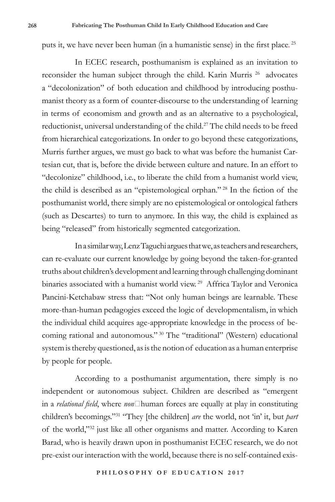puts it, we have never been human (in a humanistic sense) in the first place. <sup>25</sup>

In ECEC research, posthumanism is explained as an invitation to reconsider the human subject through the child. Karin Murris<sup>26</sup> advocates a "decolonization" of both education and childhood by introducing posthumanist theory as a form of counter-discourse to the understanding of learning in terms of economism and growth and as an alternative to a psychological, reductionist, universal understanding of the child.27 The child needs to be freed from hierarchical categorizations. In order to go beyond these categorizations, Murris further argues, we must go back to what was before the humanist Cartesian cut, that is, before the divide between culture and nature. In an effort to "decolonize" childhood, i.e., to liberate the child from a humanist world view, the child is described as an "epistemological orphan." <sup>28</sup> In the fiction of the posthumanist world, there simply are no epistemological or ontological fathers (such as Descartes) to turn to anymore. In this way, the child is explained as being "released" from historically segmented categorization.

In a similar way, Lenz Taguchi argues that we, as teachers and researchers, can re-evaluate our current knowledge by going beyond the taken-for-granted truths about children's development and learning through challenging dominant binaries associated with a humanist world view.<sup>29</sup> Affrica Taylor and Veronica Pancini-Ketchabaw stress that: "Not only human beings are learnable. These more-than-human pedagogies exceed the logic of developmentalism, in which the individual child acquires age-appropriate knowledge in the process of becoming rational and autonomous." 30 The "traditional" (Western) educational system is thereby questioned, as is the notion of education as a human enterprise by people for people.

According to a posthumanist argumentation, there simply is no independent or autonomous subject. Children are described as "emergent in a *relational field*, where *non*□human forces are equally at play in constituting children's becomings."31 "They [the children] *are* the world, not 'in' it, but *part* of the world,"32 just like all other organisms and matter. According to Karen Barad, who is heavily drawn upon in posthumanist ECEC research, we do not pre-exist our interaction with the world, because there is no self-contained exis-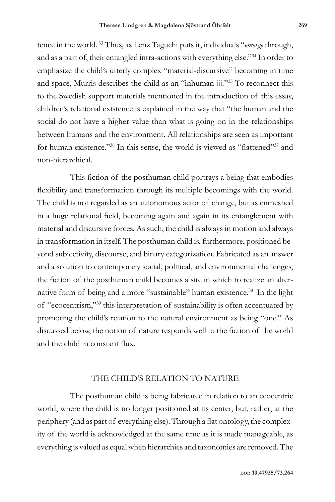tence in the world. 33 Thus, as Lenz Taguchi puts it, individuals "*emerge* through, and as a part of, their entangled intra-actions with everything else."34 In order to emphasize the child's utterly complex "material-discursive" becoming in time and space, Murris describes the child as an "inhuman-iii."35 To reconnect this to the Swedish support materials mentioned in the introduction of this essay, children's relational existence is explained in the way that "the human and the social do not have a higher value than what is going on in the relationships between humans and the environment. All relationships are seen as important for human existence."<sup>36</sup> In this sense, the world is viewed as "flattened"<sup>37</sup> and non-hierarchical.

This fiction of the posthuman child portrays a being that embodies flexibility and transformation through its multiple becomings with the world. The child is not regarded as an autonomous actor of change, but as enmeshed in a huge relational field, becoming again and again in its entanglement with material and discursive forces. As such, the child is always in motion and always in transformation in itself. The posthuman child is, furthermore, positioned beyond subjectivity, discourse, and binary categorization. Fabricated as an answer and a solution to contemporary social, political, and environmental challenges, the fiction of the posthuman child becomes a site in which to realize an alternative form of being and a more "sustainable" human existence.<sup>38</sup> In the light of "ecocentrism,"39 this interpretation of sustainability is often accentuated by promoting the child's relation to the natural environment as being "one." As discussed below, the notion of nature responds well to the fiction of the world and the child in constant flux.

### THE CHILD'S RELATION TO NATURE

The posthuman child is being fabricated in relation to an ecocentric world, where the child is no longer positioned at its center, but, rather, at the periphery (and as part of everything else). Through a flat ontology, the complexity of the world is acknowledged at the same time as it is made manageable, as everything is valued as equal when hierarchies and taxonomies are removed. The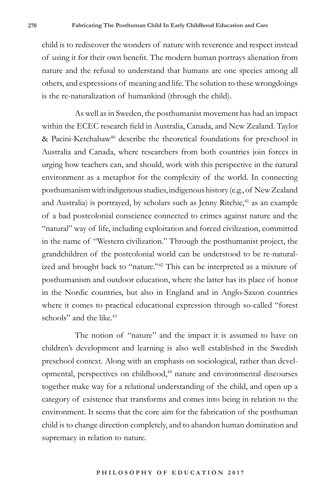child is to rediscover the wonders of nature with reverence and respect instead of using it for their own benefit. The modern human portrays alienation from nature and the refusal to understand that humans are one species among all others, and expressions of meaning and life. The solution to these wrongdoings is the re-naturalization of humankind (through the child).

As well as in Sweden, the posthumanist movement has had an impact within the ECEC research field in Australia, Canada, and New Zealand. Taylor & Pacini-Ketchabaw<sup>40</sup> describe the theoretical foundations for preschool in Australia and Canada, where researchers from both countries join forces in urging how teachers can, and should, work with this perspective in the natural environment as a metaphor for the complexity of the world. In connecting posthumanism with indigenous studies, indigenous history (e.g., of New Zealand and Australia) is portrayed, by scholars such as Jenny Ritchie,<sup>41</sup> as an example of a bad postcolonial conscience connected to crimes against nature and the "natural" way of life, including exploitation and forced civilization, committed in the name of "Western civilization." Through the posthumanist project, the grandchildren of the postcolonial world can be understood to be re-naturalized and brought back to "nature."42 This can be interpreted as a mixture of posthumanism and outdoor education, where the latter has its place of honor in the Nordic countries, but also in England and in Anglo-Saxon countries where it comes to practical educational expression through so-called "forest schools" and the like.<sup>43</sup>

The notion of "nature" and the impact it is assumed to have on children's development and learning is also well established in the Swedish preschool context. Along with an emphasis on sociological, rather than developmental, perspectives on childhood,<sup>44</sup> nature and environmental discourses together make way for a relational understanding of the child, and open up a category of existence that transforms and comes into being in relation to the environment. It seems that the core aim for the fabrication of the posthuman child is to change direction completely, and to abandon human domination and supremacy in relation to nature.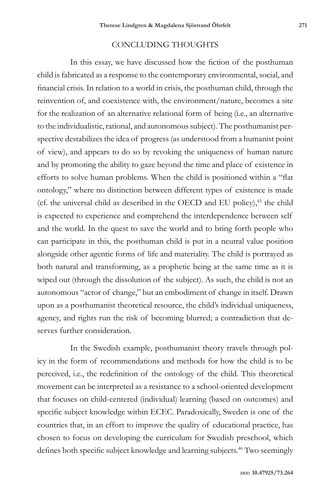## CONCLUDING THOUGHTS

In this essay, we have discussed how the fiction of the posthuman child is fabricated as a response to the contemporary environmental, social, and financial crisis. In relation to a world in crisis, the posthuman child, through the reinvention of, and coexistence with, the environment/nature, becomes a site for the realization of an alternative relational form of being (i.e., an alternative to the individualistic, rational, and autonomous subject). The posthumanist perspective destabilizes the idea of progress (as understood from a humanist point of view), and appears to do so by revoking the uniqueness of human nature and by promoting the ability to gaze beyond the time and place of existence in efforts to solve human problems. When the child is positioned within a "flat ontology," where no distinction between different types of existence is made (cf. the universal child as described in the OECD and EU policy),<sup>45</sup> the child is expected to experience and comprehend the interdependence between self and the world. In the quest to save the world and to bring forth people who can participate in this, the posthuman child is put in a neutral value position alongside other agentic forms of life and materiality. The child is portrayed as both natural and transforming, as a prophetic being at the same time as it is wiped out (through the dissolution of the subject). As such, the child is not an autonomous "actor of change," but an embodiment of change in itself. Drawn upon as a posthumanist theoretical resource, the child's individual uniqueness, agency, and rights run the risk of becoming blurred; a contradiction that deserves further consideration.

In the Swedish example, posthumanist theory travels through policy in the form of recommendations and methods for how the child is to be perceived, i.e., the redefinition of the ontology of the child. This theoretical movement can be interpreted as a resistance to a school-oriented development that focuses on child-centered (individual) learning (based on outcomes) and specific subject knowledge within ECEC. Paradoxically, Sweden is one of the countries that, in an effort to improve the quality of educational practice, has chosen to focus on developing the curriculum for Swedish preschool, which defines both specific subject knowledge and learning subjects.<sup>46</sup> Two seemingly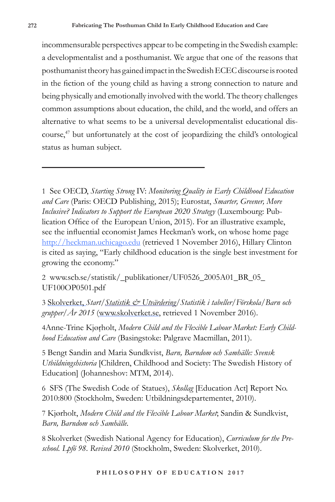incommensurable perspectives appear to be competing in the Swedish example: a developmentalist and a posthumanist. We argue that one of the reasons that posthumanist theory has gained impact in the Swedish ECEC discourse is rooted in the fiction of the young child as having a strong connection to nature and being physically and emotionally involved with the world. The theory challenges common assumptions about education, the child, and the world, and offers an alternative to what seems to be a universal developmentalist educational discourse,47 but unfortunately at the cost of jeopardizing the child's ontological status as human subject.

1 See OECD, *Starting Strong* IV: *Monitoring Quality in Early Childhood Education and Care* (Paris: OECD Publishing, 2015); Eurostat, *Smarter, Greener, More Inclusive? Indicators to Support the European 2020 Strategy* (Luxembourg: Publication Office of the European Union, 2015). For an illustrative example, see the influential economist James Heckman's work, on whose home page http://heckman.uchicago.edu (retrieved 1 November 2016), Hillary Clinton is cited as saying, "Early childhood education is the single best investment for growing the economy."

2 www.scb.se/statistik/\_publikationer/UF0526\_2005A01\_BR\_05\_ UF100OP0501.pdf

3 Skolverket, *Start/Statistik & Utvärdering/Statistik i tabeller/Förskola/Barn och grupper/År 2015* (www.skolverket.se, retrieved 1 November 2016).

4Anne-Trine Kjøŗholt, *Modern Child and the Flexible Labour Market: Early Childhood Education and Care* (Basingstoke: Palgrave Macmillan, 2011).

5 Bengt Sandin and Maria Sundkvist, *Barn, Barndom och Samhälle: Svensk Utbildningshistoria* [Children, Childhood and Society: The Swedish History of Education] (Johanneshov: MTM, 2014).

6 SFS (The Swedish Code of Statues), *Skollag* [Education Act] Report No. 2010:800 (Stockholm, Sweden: Utbildningsdepartementet, 2010).

7 Kjørholt, *Modern Child and the Flexible Labour Market*; Sandin & Sundkvist, *Barn, Barndom och Samhälle.*

8 Skolverket (Swedish National Agency for Education), *Curriculum for the Preschool. Lpfö 98*. *Revised 2010* (Stockholm, Sweden: Skolverket, 2010).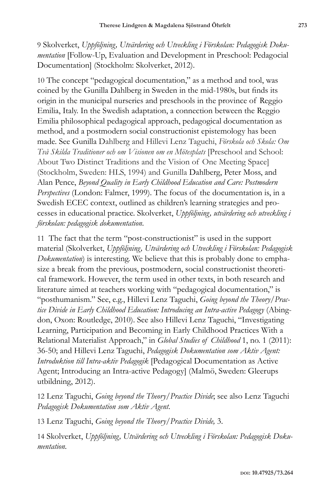9 Skolverket, *Uppföljning, Utvärdering och Utveckling i Förskolan: Pedagogisk Dokumentation* [Follow-Up, Evaluation and Development in Preschool: Pedagocial Documentation] (Stockholm: Skolverket, 2012).

10 The concept "pedagogical documentation," as a method and tool, was coined by the Gunilla Dahlberg in Sweden in the mid-1980s, but finds its origin in the municipal nurseries and preschools in the province of Reggio Emilia, Italy. In the Swedish adaptation, a connection between the Reggio Emilia philosophical pedagogical approach, pedagogical documentation as method, and a postmodern social constructionist epistemology has been made. See Gunilla Dahlberg and Hillevi Lenz Taguchi, *Förskola och Skola: Om Två Skilda Traditioner och om Visionen om en Mötesplats* [Preschool and School: About Two Distinct Traditions and the Vision of One Meeting Space] (Stockholm, Sweden: HLS, 1994) and Gunilla Dahlberg, Peter Moss, and Alan Pence, *Beyond Quality in Early Childhood Education and Care: Postmodern Perspectives* (London: Falmer, 1999). The focus of the documentation is, in a Swedish ECEC context, outlined as children's learning strategies and processes in educational practice. Skolverket, *Uppföljning, utvärdering och utveckling i förskolan: pedagogisk dokumentation*.

11 The fact that the term "post-constructionist" is used in the support material (Skolverket, *Uppföljning, Utvärdering och Utveckling i Förskolan: Pedagogisk Dokumentation*) is interesting. We believe that this is probably done to emphasize a break from the previous, postmodern, social constructionist theoretical framework. However, the term used in other texts, in both research and literature aimed at teachers working with "pedagogical documentation," is "posthumanism." See, e.g., Hillevi Lenz Taguchi, *Going beyond the Theory/Practice Divide in Early Childhood Education: Introducing an Intra-active Pedagogy* (Abingdon, Oxon: Routledge, 2010). See also Hillevi Lenz Taguchi, "Investigating Learning, Participation and Becoming in Early Childhood Practices With a Relational Materialist Approach," in *Global Studies of Childhood* 1, no. 1 (2011): 36-50; and Hillevi Lenz Taguchi, *Pedagogisk Dokumentation som Aktiv Agent: Introduktion till Intra-aktiv Pedagogik* [Pedagogical Documentation as Active Agent; Introducing an Intra-active Pedagogy] (Malmö, Sweden: Gleerups utbildning, 2012).

12 Lenz Taguchi, *Going beyond the Theory/Practice Divide*; see also Lenz Taguchi *Pedagogisk Dokumentation som Aktiv Agent*.

13 Lenz Taguchi, *Going beyond the Theory/Practice Divide,* 3.

14 Skolverket, *Uppföljning, Utvärdering och Utveckling i Förskolan: Pedagogisk Dokumentation.*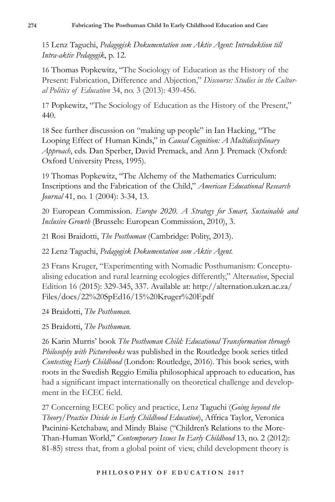15 Lenz Taguchi, *Pedagogisk Dokumentation som Aktiv Agent: Introduktion till Intra-aktiv Pedagogik*, p. 12.

16 Thomas Popkewitz, "The Sociology of Education as the History of the Present: Fabrication, Difference and Abjection," *Discourse: Studies in the Cultural Politics of Education* 34, no. 3 (2013): 439-456.

17 Popkewitz, "The Sociology of Education as the History of the Present," 440.

18 See further discussion on "making up people" in Ian Hacking, "The Looping Effect of Human Kinds," in *Causal Cognition: A Multidisciplinary Approach*, eds. Dan Sperber, David Premack, and Ann J. Premack (Oxford: Oxford University Press, 1995).

19 Thomas Popkewitz, "The Alchemy of the Mathematics Curriculum: Inscriptions and the Fabrication of the Child," *American Educational Research Journal* 41, no. 1 (2004): 3-34, 13.

20 European Commission. *Europe 2020. A Strategy for Smart, Sustainable and Inclusive Growth* (Brussels: European Commission, 2010), 3.

21 Rosi Braidotti, *The Posthuman* (Cambridge: Polity, 2013).

22 Lenz Taguchi, *Pedagogisk Dokumentation som Aktiv Agent.*

23 Frans Kruger, "Experimenting with Nomadic Posthumanism: Conceptualising education and rural learning ecologies differently," Alter*nation*, Special Edition 16 (2015): 329-345, 337. Available at: http://alternation.ukzn.ac.za/ Files/docs/22%20SpEd16/15%20Kruger%20F.pdf

24 Braidotti, *The Posthuman.*

25 Braidotti, *The Posthuman.*

26 Karin Murris' book *The Posthuman Child: Educational Transformation through Philosophy with Picturebooks* was published in the Routledge book series titled *Contesting Early Childhood* (London: Routledge, 2016). This book series, with roots in the Swedish Reggio Emilia philosophical approach to education, has had a significant impact internationally on theoretical challenge and development in the ECEC field.

27 Concerning ECEC policy and practice, Lenz Taguchi (*Going beyond the Theory/Practice Divide in Early Childhood Education*), Affrica Taylor, Veronica Pacinini-Ketchabaw, and Mindy Blaise ("Children's Relations to the More-Than-Human World," *Contemporary Issues In Early Childhood* 13, no. 2 (2012): 81-85) stress that, from a global point of view, child development theory is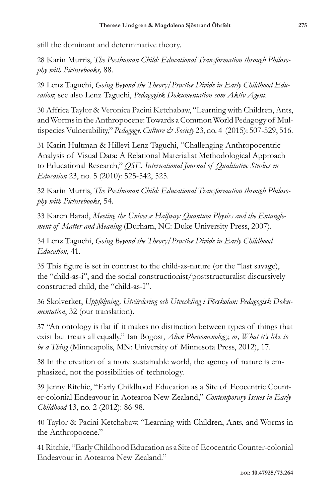still the dominant and determinative theory.

28 Karin Murris, *The Posthuman Child: Educational Transformation through Philosophy with Picturebooks,* 88.

29 Lenz Taguchi, *Going Beyond the Theory/Practice Divide in Early Childhood Education*; see also Lenz Taguchi, *Pedagogisk Dokumentation som Aktiv Agent*.

30 Affrica Taylor & Veronica Pacini Ketchabaw, "Learning with Children, Ants, and Worms in the Anthropocene: Towards a Common World Pedagogy of Multispecies Vulnerability," *Pedagogy, Culture & Society* 23, no. 4 (2015): 507-529, 516.

31 Karin Hultman & Hillevi Lenz Taguchi, "Challenging Anthropocentric Analysis of Visual Data: A Relational Materialist Methodological Approach to Educational Research," *QSE. International Journal of Qualitative Studies in Education* 23, no. 5 (2010): 525-542, 525.

32 Karin Murris, *The Posthuman Child: Educational Transformation through Philosophy with Picturebooks*, 54.

33 Karen Barad, *Meeting the Universe Halfway: Quantum Physics and the Entanglement of Matter and Meaning* (Durham, NC: Duke University Press, 2007).

34 Lenz Taguchi, *Going Beyond the Theory/Practice Divide in Early Childhood Education,* 41.

35 This figure is set in contrast to the child-as-nature (or the "last savage), the "child-as-i", and the social constructionist/poststructuralist discursively constructed child, the "child-as-I".

36 Skolverket, *Uppföljning, Utvärdering och Utveckling i Förskolan: Pedagogisk Dokumentation*, 32 (our translation).

37 "An ontology is flat if it makes no distinction between types of things that exist but treats all equally." Ian Bogost, *Alien Phenomenology, or, What it's like to be a Thing* (Minneapolis, MN: University of Minnesota Press, 2012), 17.

38 In the creation of a more sustainable world, the agency of nature is emphasized, not the possibilities of technology.

39 Jenny Ritchie, "Early Childhood Education as a Site of Ecocentric Counter-colonial Endeavour in Aotearoa New Zealand," *Contemporary Issues in Early Childhood* 13, no. 2 (2012): 86-98.

40 Taylor & Pacini Ketchabaw, "Learning with Children, Ants, and Worms in the Anthropocene."

41Ritchie, "Early Childhood Education as a Site of Ecocentric Counter-colonial Endeavour in Aotearoa New Zealand."